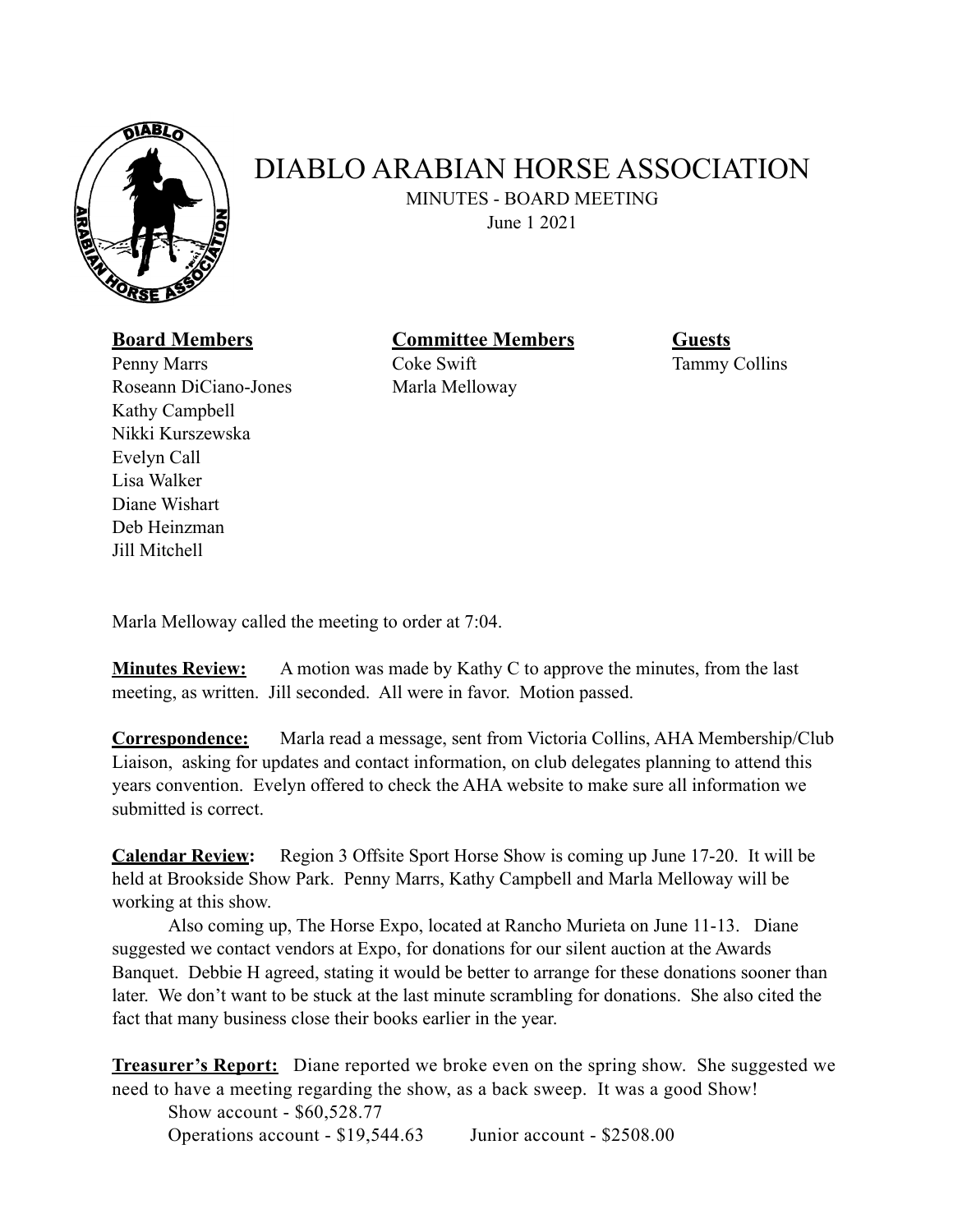

## DIABLO ARABIAN HORSE ASSOCIATION

MINUTES - BOARD MEETING

June 1 2021

**Board Members Committee Members Guests** 

Penny Marrs Coke Swift Tammy Collins Roseann DiCiano-Jones Marla Melloway Kathy Campbell Nikki Kurszewska Evelyn Call Lisa Walker Diane Wishart Deb Heinzman Jill Mitchell

Marla Melloway called the meeting to order at 7:04.

**Minutes Review:** A motion was made by Kathy C to approve the minutes, from the last meeting, as written. Jill seconded. All were in favor. Motion passed.

**Correspondence:** Marla read a message, sent from Victoria Collins, AHA Membership/Club Liaison, asking for updates and contact information, on club delegates planning to attend this years convention. Evelyn offered to check the AHA website to make sure all information we submitted is correct.

**Calendar Review:** Region 3 Offsite Sport Horse Show is coming up June 17-20. It will be held at Brookside Show Park. Penny Marrs, Kathy Campbell and Marla Melloway will be working at this show.

 Also coming up, The Horse Expo, located at Rancho Murieta on June 11-13. Diane suggested we contact vendors at Expo, for donations for our silent auction at the Awards Banquet. Debbie H agreed, stating it would be better to arrange for these donations sooner than later. We don't want to be stuck at the last minute scrambling for donations. She also cited the fact that many business close their books earlier in the year.

**Treasurer's Report:** Diane reported we broke even on the spring show. She suggested we need to have a meeting regarding the show, as a back sweep. It was a good Show!

 Show account - \$60,528.77 Operations account - \$19,544.63 Junior account - \$2508.00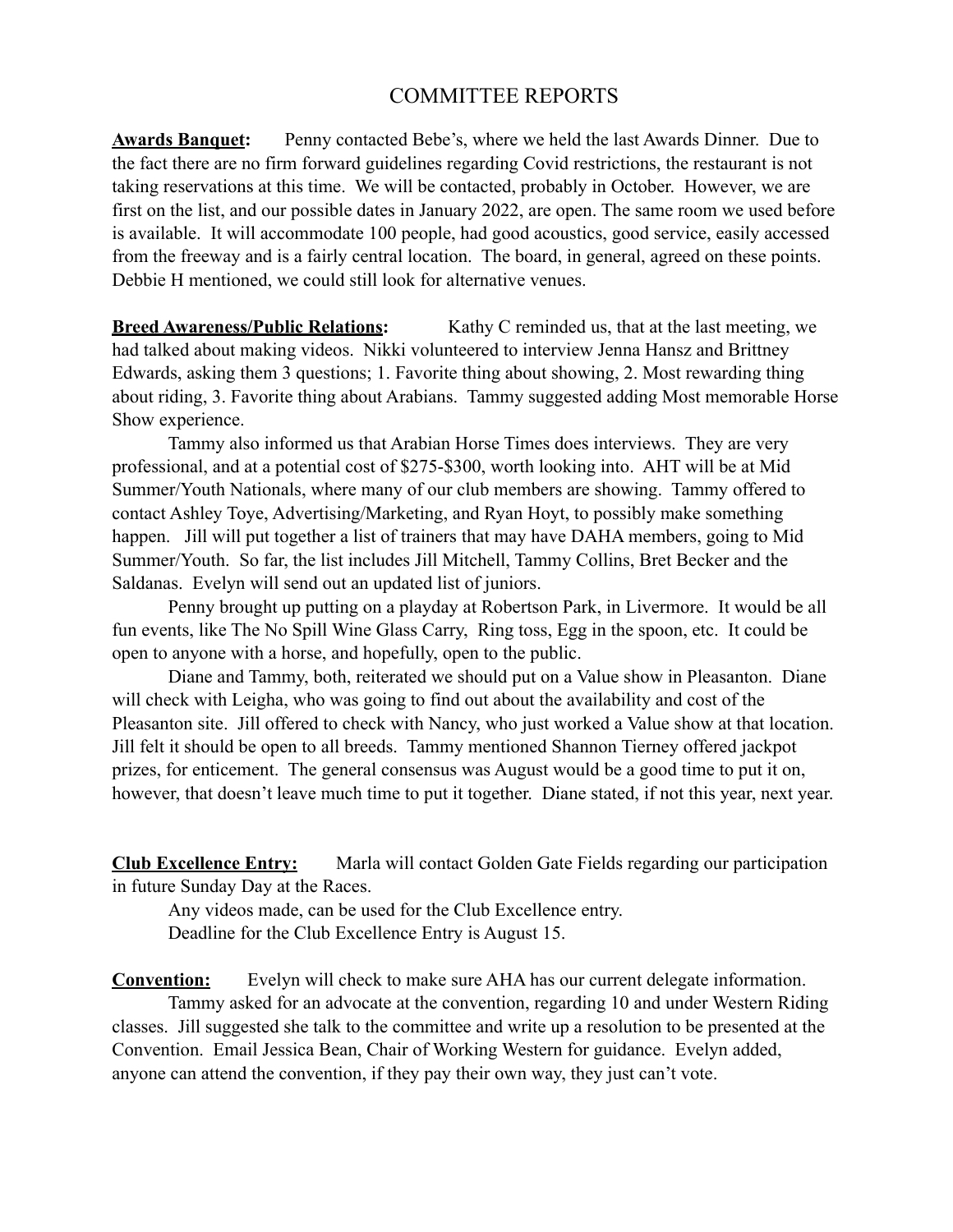## COMMITTEE REPORTS

**Awards Banquet:** Penny contacted Bebe's, where we held the last Awards Dinner. Due to the fact there are no firm forward guidelines regarding Covid restrictions, the restaurant is not taking reservations at this time. We will be contacted, probably in October. However, we are first on the list, and our possible dates in January 2022, are open. The same room we used before is available. It will accommodate 100 people, had good acoustics, good service, easily accessed from the freeway and is a fairly central location. The board, in general, agreed on these points. Debbie H mentioned, we could still look for alternative venues.

**Breed Awareness/Public Relations:** Kathy C reminded us, that at the last meeting, we had talked about making videos. Nikki volunteered to interview Jenna Hansz and Brittney Edwards, asking them 3 questions; 1. Favorite thing about showing, 2. Most rewarding thing about riding, 3. Favorite thing about Arabians. Tammy suggested adding Most memorable Horse Show experience.

 Tammy also informed us that Arabian Horse Times does interviews. They are very professional, and at a potential cost of \$275-\$300, worth looking into. AHT will be at Mid Summer/Youth Nationals, where many of our club members are showing. Tammy offered to contact Ashley Toye, Advertising/Marketing, and Ryan Hoyt, to possibly make something happen. Jill will put together a list of trainers that may have DAHA members, going to Mid Summer/Youth. So far, the list includes Jill Mitchell, Tammy Collins, Bret Becker and the Saldanas. Evelyn will send out an updated list of juniors.

 Penny brought up putting on a playday at Robertson Park, in Livermore. It would be all fun events, like The No Spill Wine Glass Carry, Ring toss, Egg in the spoon, etc. It could be open to anyone with a horse, and hopefully, open to the public.

 Diane and Tammy, both, reiterated we should put on a Value show in Pleasanton. Diane will check with Leigha, who was going to find out about the availability and cost of the Pleasanton site. Jill offered to check with Nancy, who just worked a Value show at that location. Jill felt it should be open to all breeds. Tammy mentioned Shannon Tierney offered jackpot prizes, for enticement. The general consensus was August would be a good time to put it on, however, that doesn't leave much time to put it together. Diane stated, if not this year, next year.

**Club Excellence Entry:** Marla will contact Golden Gate Fields regarding our participation in future Sunday Day at the Races.

 Any videos made, can be used for the Club Excellence entry. Deadline for the Club Excellence Entry is August 15.

**Convention:** Evelyn will check to make sure AHA has our current delegate information. Tammy asked for an advocate at the convention, regarding 10 and under Western Riding classes. Jill suggested she talk to the committee and write up a resolution to be presented at the Convention. Email Jessica Bean, Chair of Working Western for guidance. Evelyn added, anyone can attend the convention, if they pay their own way, they just can't vote.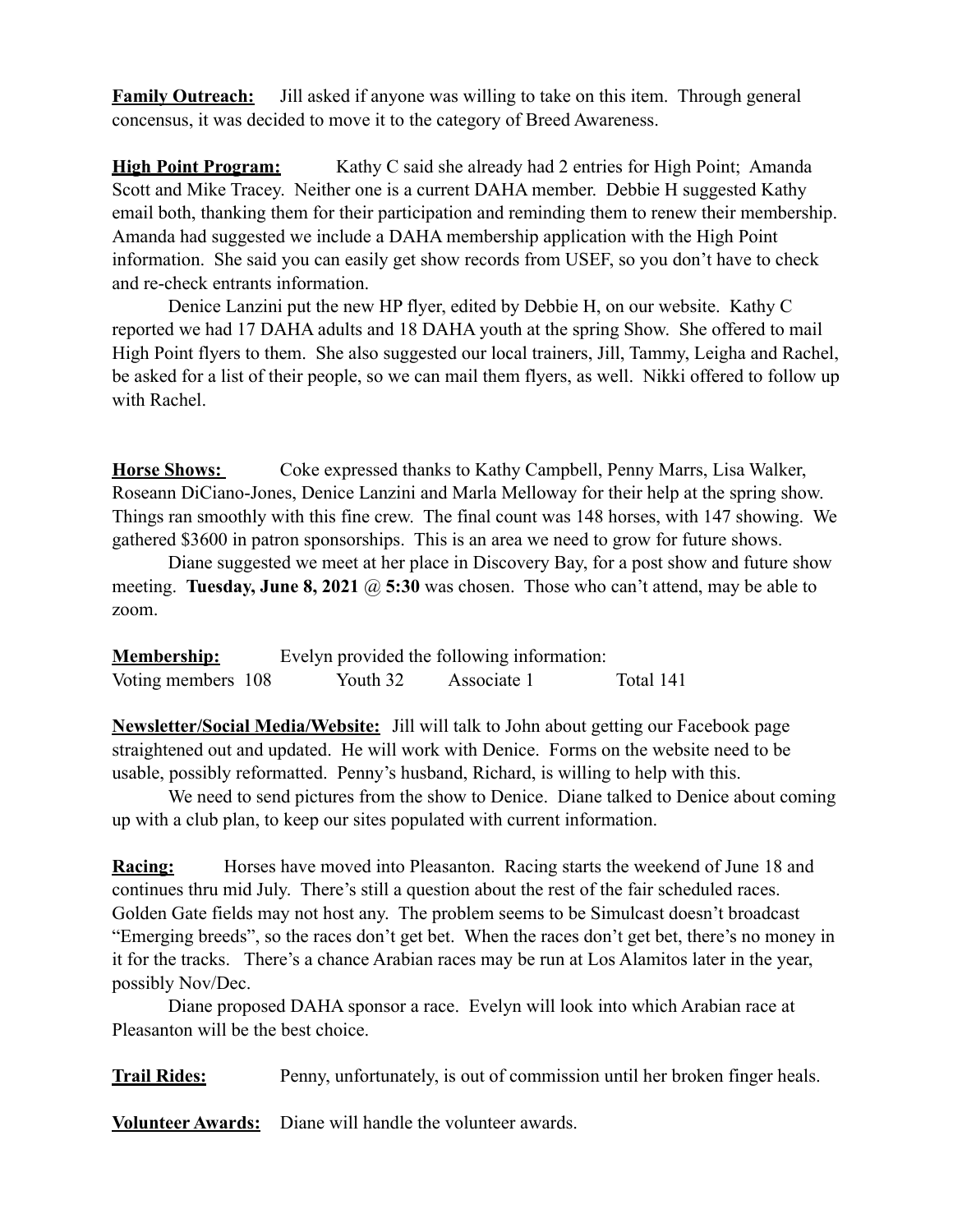**Family Outreach:** Jill asked if anyone was willing to take on this item. Through general concensus, it was decided to move it to the category of Breed Awareness.

**High Point Program:** Kathy C said she already had 2 entries for High Point; Amanda Scott and Mike Tracey. Neither one is a current DAHA member. Debbie H suggested Kathy email both, thanking them for their participation and reminding them to renew their membership. Amanda had suggested we include a DAHA membership application with the High Point information. She said you can easily get show records from USEF, so you don't have to check and re-check entrants information.

 Denice Lanzini put the new HP flyer, edited by Debbie H, on our website. Kathy C reported we had 17 DAHA adults and 18 DAHA youth at the spring Show. She offered to mail High Point flyers to them. She also suggested our local trainers, Jill, Tammy, Leigha and Rachel, be asked for a list of their people, so we can mail them flyers, as well. Nikki offered to follow up with Rachel.

**Horse Shows:** Coke expressed thanks to Kathy Campbell, Penny Marrs, Lisa Walker, Roseann DiCiano-Jones, Denice Lanzini and Marla Melloway for their help at the spring show. Things ran smoothly with this fine crew. The final count was 148 horses, with 147 showing. We gathered \$3600 in patron sponsorships. This is an area we need to grow for future shows.

 Diane suggested we meet at her place in Discovery Bay, for a post show and future show meeting. **Tuesday, June 8, 2021** @ 5:30 was chosen. Those who can't attend, may be able to zoom.

| <b>Membership:</b> | Evelyn provided the following information: |             |           |
|--------------------|--------------------------------------------|-------------|-----------|
| Voting members 108 | Youth 32                                   | Associate 1 | Total 141 |

**Newsletter/Social Media/Website:** Jill will talk to John about getting our Facebook page straightened out and updated. He will work with Denice. Forms on the website need to be usable, possibly reformatted. Penny's husband, Richard, is willing to help with this.

 We need to send pictures from the show to Denice. Diane talked to Denice about coming up with a club plan, to keep our sites populated with current information.

**Racing:** Horses have moved into Pleasanton. Racing starts the weekend of June 18 and continues thru mid July. There's still a question about the rest of the fair scheduled races. Golden Gate fields may not host any. The problem seems to be Simulcast doesn't broadcast "Emerging breeds", so the races don't get bet. When the races don't get bet, there's no money in it for the tracks. There's a chance Arabian races may be run at Los Alamitos later in the year, possibly Nov/Dec.

 Diane proposed DAHA sponsor a race. Evelyn will look into which Arabian race at Pleasanton will be the best choice.

**Trail Rides:** Penny, unfortunately, is out of commission until her broken finger heals.

**Volunteer Awards:** Diane will handle the volunteer awards.